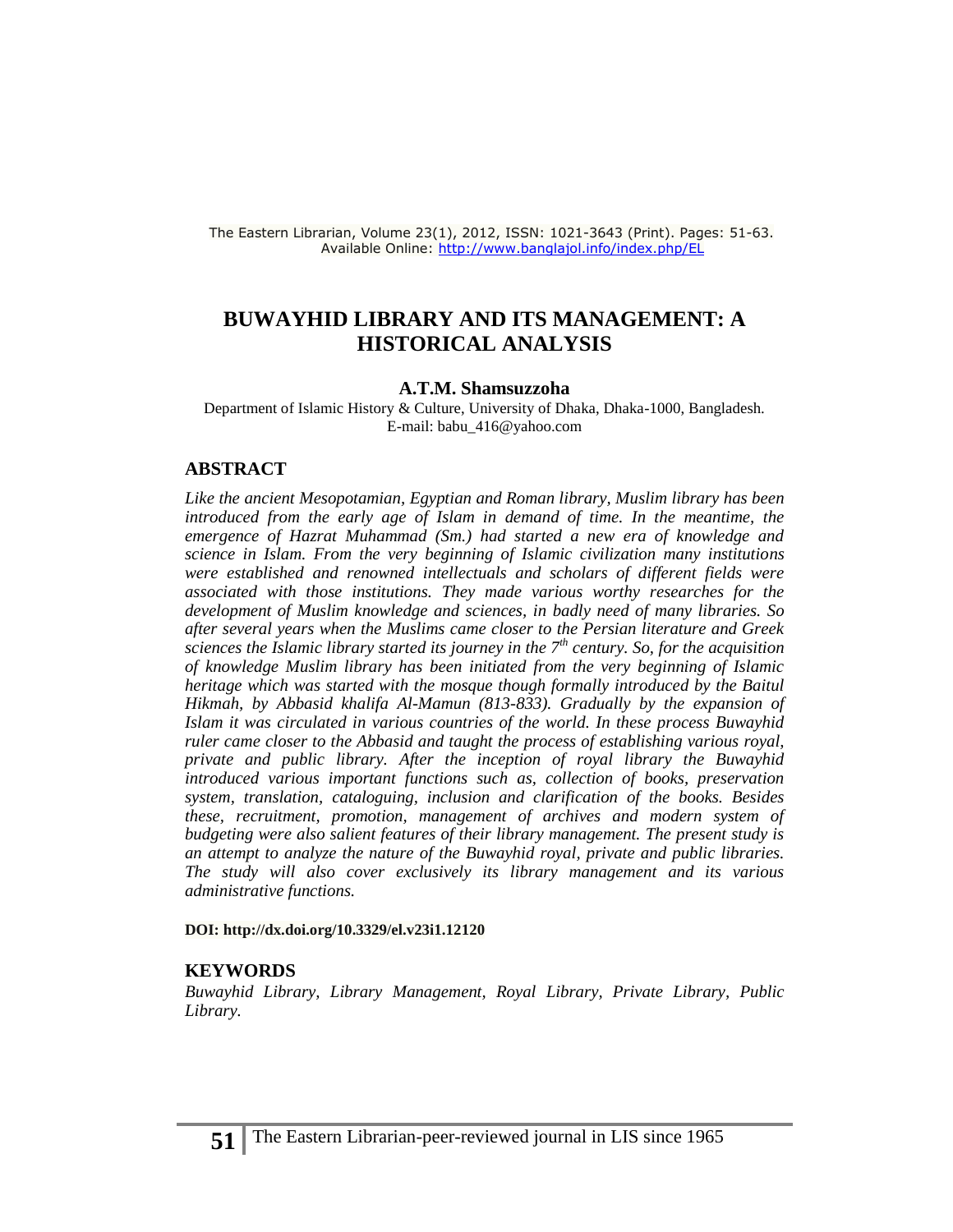The Eastern Librarian, Volume 23(1), 2012, ISSN: 1021-3643 (Print). Pages: 51-63. Available Online:<http://www.banglajol.info/index.php/EL>

#### **BUWAYHID LIBRARY AND ITS MANAGEMENT: A HISTORICAL ANALYSIS**

#### **A.T.M. Shamsuzzoha**

Department of Islamic History & Culture, University of Dhaka, Dhaka-1000, Bangladesh. E-mail: [babu\\_416@yahoo.com](mailto:babu_416@yahoo.com)

#### **ABSTRACT**

*Like the ancient Mesopotamian, Egyptian and Roman library, Muslim library has been introduced from the early age of Islam in demand of time. In the meantime, the emergence of Hazrat Muhammad (Sm.) had started a new era of knowledge and science in Islam. From the very beginning of Islamic civilization many institutions were established and renowned intellectuals and scholars of different fields were associated with those institutions. They made various worthy researches for the development of Muslim knowledge and sciences, in badly need of many libraries. So after several years when the Muslims came closer to the Persian literature and Greek sciences the Islamic library started its journey in the 7th century. So, for the acquisition of knowledge Muslim library has been initiated from the very beginning of Islamic heritage which was started with the mosque though formally introduced by the Baitul Hikmah, by Abbasid khalifa Al-Mamun (813-833). Gradually by the expansion of Islam it was circulated in various countries of the world. In these process Buwayhid ruler came closer to the Abbasid and taught the process of establishing various royal, private and public library. After the inception of royal library the Buwayhid introduced various important functions such as, collection of books, preservation system, translation, cataloguing, inclusion and clarification of the books. Besides these, recruitment, promotion, management of archives and modern system of budgeting were also salient features of their library management. The present study is an attempt to analyze the nature of the Buwayhid royal, private and public libraries. The study will also cover exclusively its library management and its various administrative functions.* 

#### **DOI:<http://dx.doi.org/10.3329/el.v23i1.12120>**

#### **KEYWORDS**

*Buwayhid Library, Library Management, Royal Library, Private Library, Public Library.*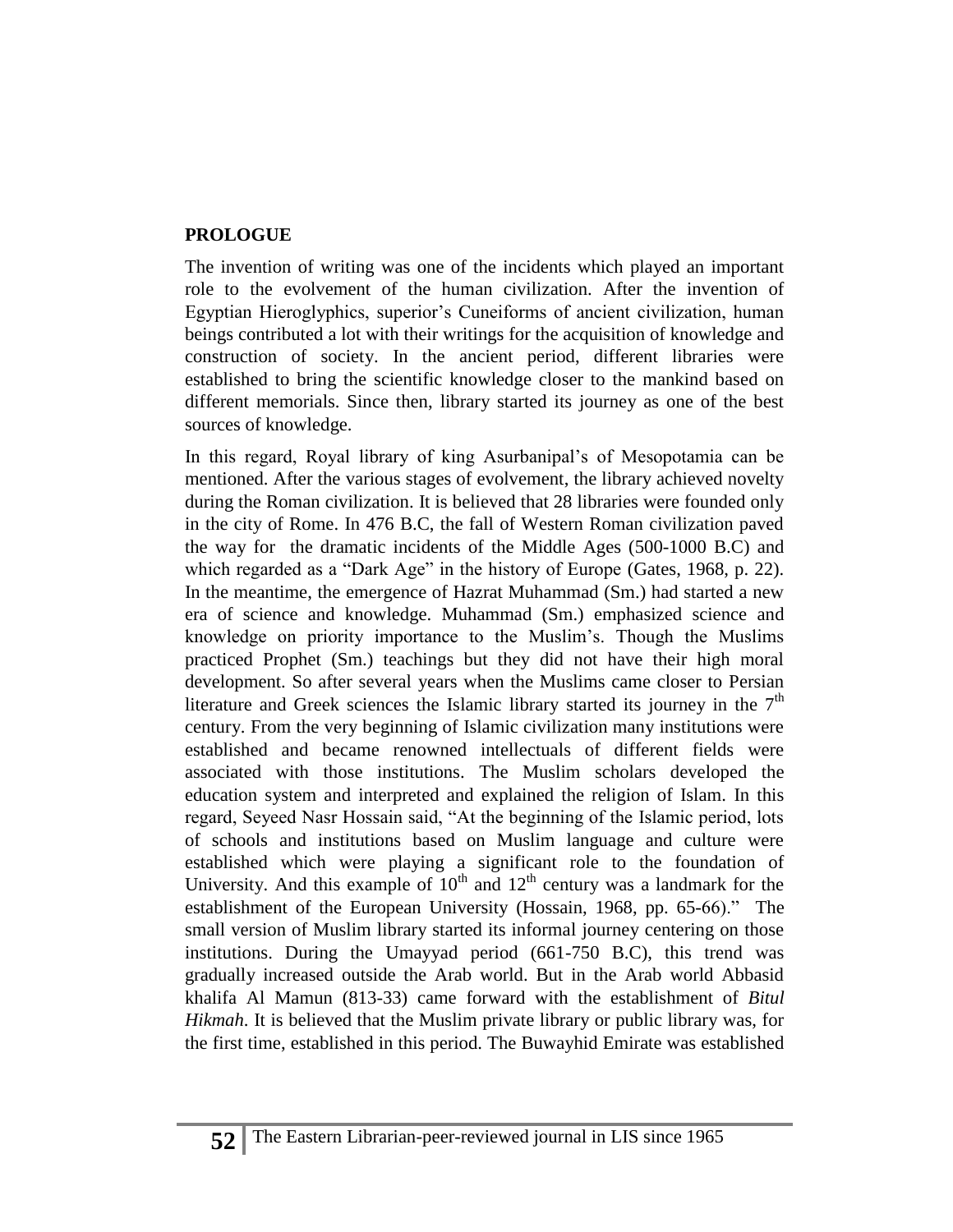## **PROLOGUE**

The invention of writing was one of the incidents which played an important role to the evolvement of the human civilization. After the invention of Egyptian Hieroglyphics, superior's Cuneiforms of ancient civilization, human beings contributed a lot with their writings for the acquisition of knowledge and construction of society. In the ancient period, different libraries were established to bring the scientific knowledge closer to the mankind based on different memorials. Since then, library started its journey as one of the best sources of knowledge.

In this regard, Royal library of king Asurbanipal's of Mesopotamia can be mentioned. After the various stages of evolvement, the library achieved novelty during the Roman civilization. It is believed that 28 libraries were founded only in the city of Rome. In 476 B.C, the fall of Western Roman civilization paved the way for the dramatic incidents of the Middle Ages (500-1000 B.C) and which regarded as a "Dark Age" in the history of Europe (Gates, 1968, p. 22). In the meantime, the emergence of Hazrat Muhammad (Sm.) had started a new era of science and knowledge. Muhammad (Sm.) emphasized science and knowledge on priority importance to the Muslim's. Though the Muslims practiced Prophet (Sm.) teachings but they did not have their high moral development. So after several years when the Muslims came closer to Persian literature and Greek sciences the Islamic library started its journey in the  $7<sup>th</sup>$ century. From the very beginning of Islamic civilization many institutions were established and became renowned intellectuals of different fields were associated with those institutions. The Muslim scholars developed the education system and interpreted and explained the religion of Islam. In this regard, Seyeed Nasr Hossain said, "At the beginning of the Islamic period, lots of schools and institutions based on Muslim language and culture were established which were playing a significant role to the foundation of University. And this example of  $10<sup>th</sup>$  and  $12<sup>th</sup>$  century was a landmark for the establishment of the European University (Hossain, 1968, pp. 65-66)." The small version of Muslim library started its informal journey centering on those institutions. During the Umayyad period (661-750 B.C), this trend was gradually increased outside the Arab world. But in the Arab world Abbasid khalifa Al Mamun (813-33) came forward with the establishment of *Bitul Hikmah*. It is believed that the Muslim private library or public library was, for the first time, established in this period. The Buwayhid Emirate was established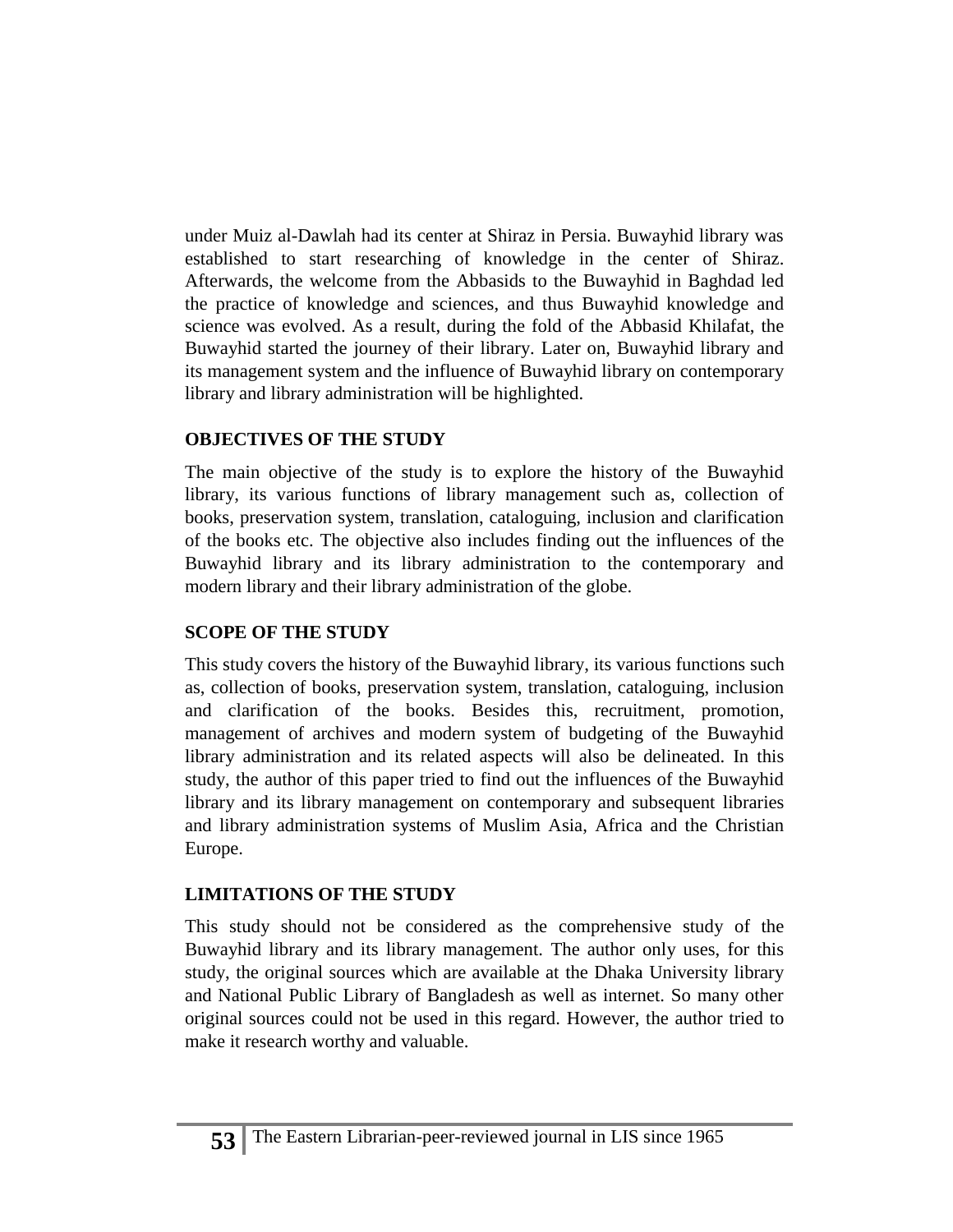under Muiz al-Dawlah had its center at Shiraz in Persia. Buwayhid library was established to start researching of knowledge in the center of Shiraz. Afterwards, the welcome from the Abbasids to the Buwayhid in Baghdad led the practice of knowledge and sciences, and thus Buwayhid knowledge and science was evolved. As a result, during the fold of the Abbasid Khilafat, the Buwayhid started the journey of their library. Later on, Buwayhid library and its management system and the influence of Buwayhid library on contemporary library and library administration will be highlighted.

## **OBJECTIVES OF THE STUDY**

The main objective of the study is to explore the history of the Buwayhid library, its various functions of library management such as, collection of books, preservation system, translation, cataloguing, inclusion and clarification of the books etc. The objective also includes finding out the influences of the Buwayhid library and its library administration to the contemporary and modern library and their library administration of the globe.

# **SCOPE OF THE STUDY**

This study covers the history of the Buwayhid library, its various functions such as, collection of books, preservation system, translation, cataloguing, inclusion and clarification of the books. Besides this, recruitment, promotion, management of archives and modern system of budgeting of the Buwayhid library administration and its related aspects will also be delineated. In this study, the author of this paper tried to find out the influences of the Buwayhid library and its library management on contemporary and subsequent libraries and library administration systems of Muslim Asia, Africa and the Christian Europe.

# **LIMITATIONS OF THE STUDY**

This study should not be considered as the comprehensive study of the Buwayhid library and its library management. The author only uses, for this study, the original sources which are available at the Dhaka University library and National Public Library of Bangladesh as well as internet. So many other original sources could not be used in this regard. However, the author tried to make it research worthy and valuable.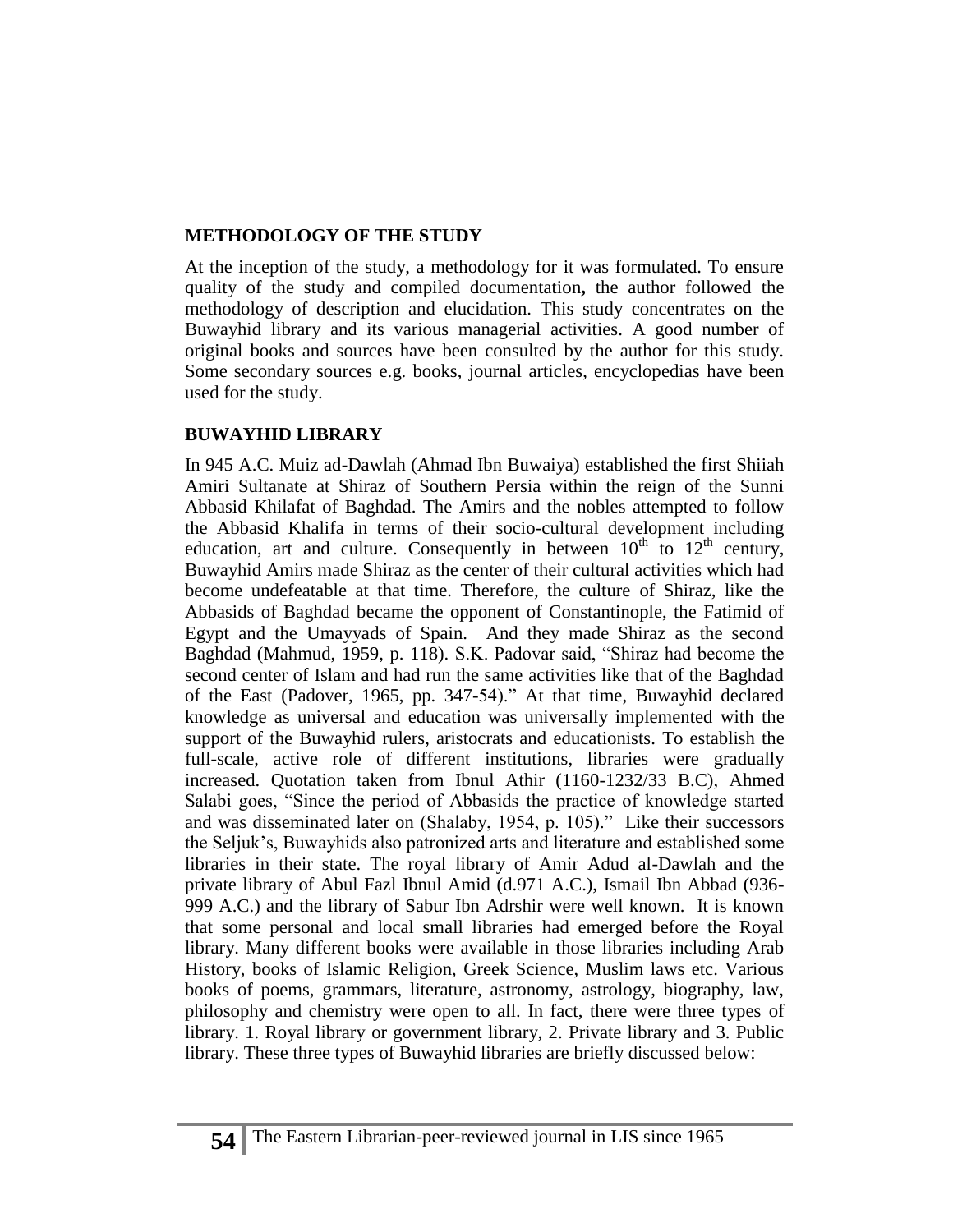#### **METHODOLOGY OF THE STUDY**

At the inception of the study, a methodology for it was formulated. To ensure quality of the study and compiled documentation**,** the author followed the methodology of description and elucidation. This study concentrates on the Buwayhid library and its various managerial activities. A good number of original books and sources have been consulted by the author for this study. Some secondary sources e.g. books, journal articles, encyclopedias have been used for the study.

#### **BUWAYHID LIBRARY**

In 945 A.C. Muiz ad-Dawlah (Ahmad Ibn Buwaiya) established the first Shiiah Amiri Sultanate at Shiraz of Southern Persia within the reign of the Sunni Abbasid Khilafat of Baghdad. The Amirs and the nobles attempted to follow the Abbasid Khalifa in terms of their socio-cultural development including education, art and culture. Consequently in between  $10^{th}$  to  $12^{th}$  century, Buwayhid Amirs made Shiraz as the center of their cultural activities which had become undefeatable at that time. Therefore, the culture of Shiraz, like the Abbasids of Baghdad became the opponent of Constantinople, the Fatimid of Egypt and the Umayyads of Spain. And they made Shiraz as the second Baghdad (Mahmud, 1959, p. 118). S.K. Padovar said, "Shiraz had become the second center of Islam and had run the same activities like that of the Baghdad of the East (Padover, 1965, pp. 347-54)." At that time, Buwayhid declared knowledge as universal and education was universally implemented with the support of the Buwayhid rulers, aristocrats and educationists. To establish the full-scale, active role of different institutions, libraries were gradually increased. Quotation taken from Ibnul Athir (1160-1232/33 B.C), Ahmed Salabi goes, "Since the period of Abbasids the practice of knowledge started and was disseminated later on (Shalaby, 1954, p. 105)." Like their successors the Seljuk's, Buwayhids also patronized arts and literature and established some libraries in their state. The royal library of Amir Adud al-Dawlah and the private library of Abul Fazl Ibnul Amid (d.971 A.C.), Ismail Ibn Abbad (936- 999 A.C.) and the library of Sabur Ibn Adrshir were well known. It is known that some personal and local small libraries had emerged before the Royal library. Many different books were available in those libraries including Arab History, books of Islamic Religion, Greek Science, Muslim laws etc. Various books of poems, grammars, literature, astronomy, astrology, biography, law, philosophy and chemistry were open to all. In fact, there were three types of library. 1. Royal library or government library, 2. Private library and 3. Public library. These three types of Buwayhid libraries are briefly discussed below: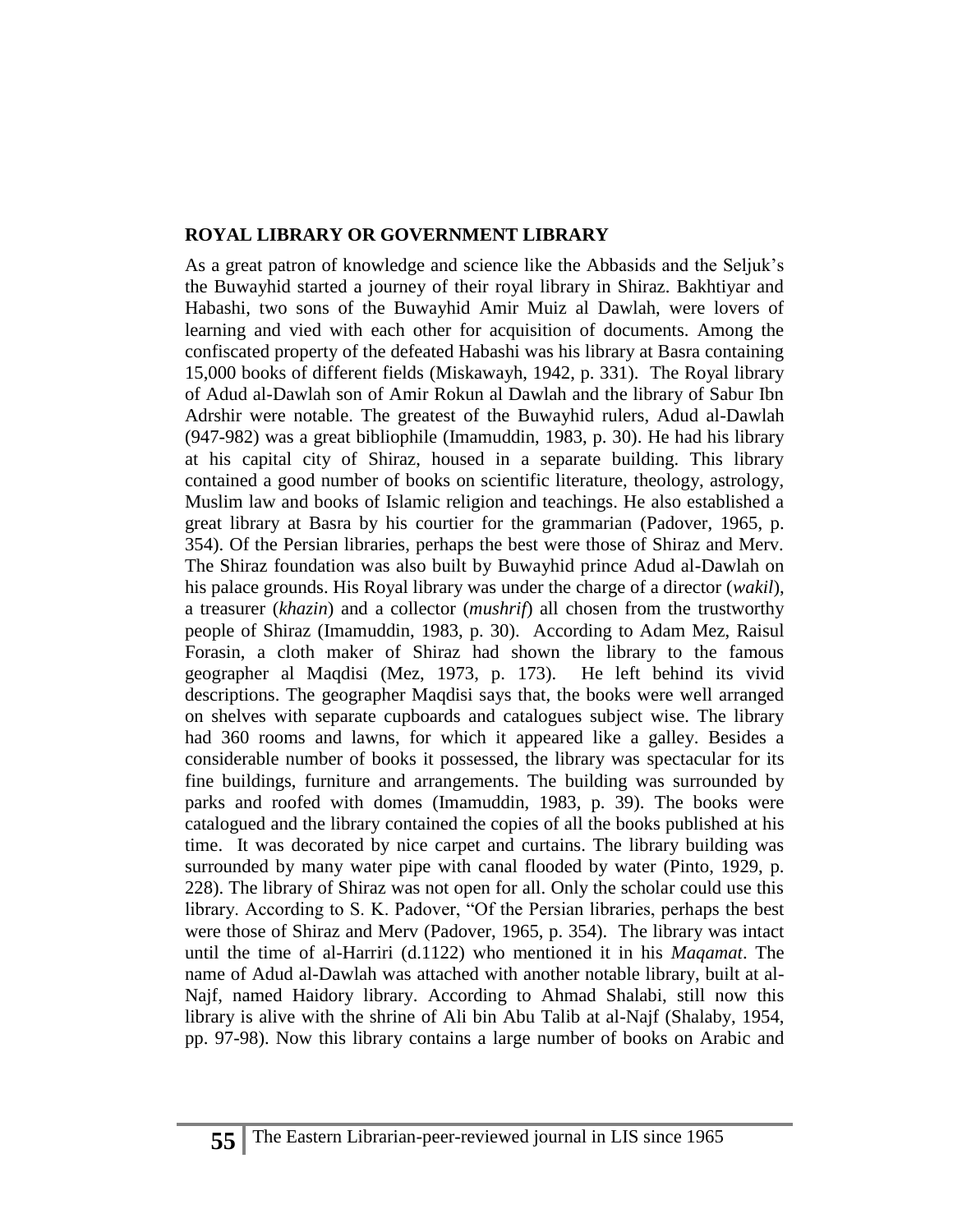#### **ROYAL LIBRARY OR GOVERNMENT LIBRARY**

As a great patron of knowledge and science like the Abbasids and the Seljuk's the Buwayhid started a journey of their royal library in Shiraz. Bakhtiyar and Habashi, two sons of the Buwayhid Amir Muiz al Dawlah, were lovers of learning and vied with each other for acquisition of documents. Among the confiscated property of the defeated Habashi was his library at Basra containing 15,000 books of different fields (Miskawayh, 1942, p. 331). The Royal library of Adud al-Dawlah son of Amir Rokun al Dawlah and the library of Sabur Ibn Adrshir were notable. The greatest of the Buwayhid rulers, Adud al-Dawlah (947-982) was a great bibliophile (Imamuddin, 1983, p. 30). He had his library at his capital city of Shiraz, housed in a separate building. This library contained a good number of books on scientific literature, theology, astrology, Muslim law and books of Islamic religion and teachings. He also established a great library at Basra by his courtier for the grammarian (Padover, 1965, p. 354). Of the Persian libraries, perhaps the best were those of Shiraz and Merv. The Shiraz foundation was also built by Buwayhid prince Adud al-Dawlah on his palace grounds. His Royal library was under the charge of a director (*wakil*), a treasurer (*khazin*) and a collector (*mushrif*) all chosen from the trustworthy people of Shiraz (Imamuddin, 1983, p. 30). According to Adam Mez, Raisul Forasin, a cloth maker of Shiraz had shown the library to the famous geographer al Maqdisi (Mez, 1973, p. 173). He left behind its vivid descriptions. The geographer Maqdisi says that, the books were well arranged on shelves with separate cupboards and catalogues subject wise. The library had 360 rooms and lawns, for which it appeared like a galley. Besides a considerable number of books it possessed, the library was spectacular for its fine buildings, furniture and arrangements. The building was surrounded by parks and roofed with domes (Imamuddin, 1983, p. 39). The books were catalogued and the library contained the copies of all the books published at his time. It was decorated by nice carpet and curtains. The library building was surrounded by many water pipe with canal flooded by water (Pinto, 1929, p. 228). The library of Shiraz was not open for all. Only the scholar could use this library. According to S. K. Padover, "Of the Persian libraries, perhaps the best were those of Shiraz and Merv (Padover, 1965, p. 354). The library was intact until the time of al-Harriri (d.1122) who mentioned it in his *Maqamat*. The name of Adud al-Dawlah was attached with another notable library, built at al-Najf, named Haidory library. According to Ahmad Shalabi, still now this library is alive with the shrine of Ali bin Abu Talib at al-Najf (Shalaby, 1954, pp. 97-98). Now this library contains a large number of books on Arabic and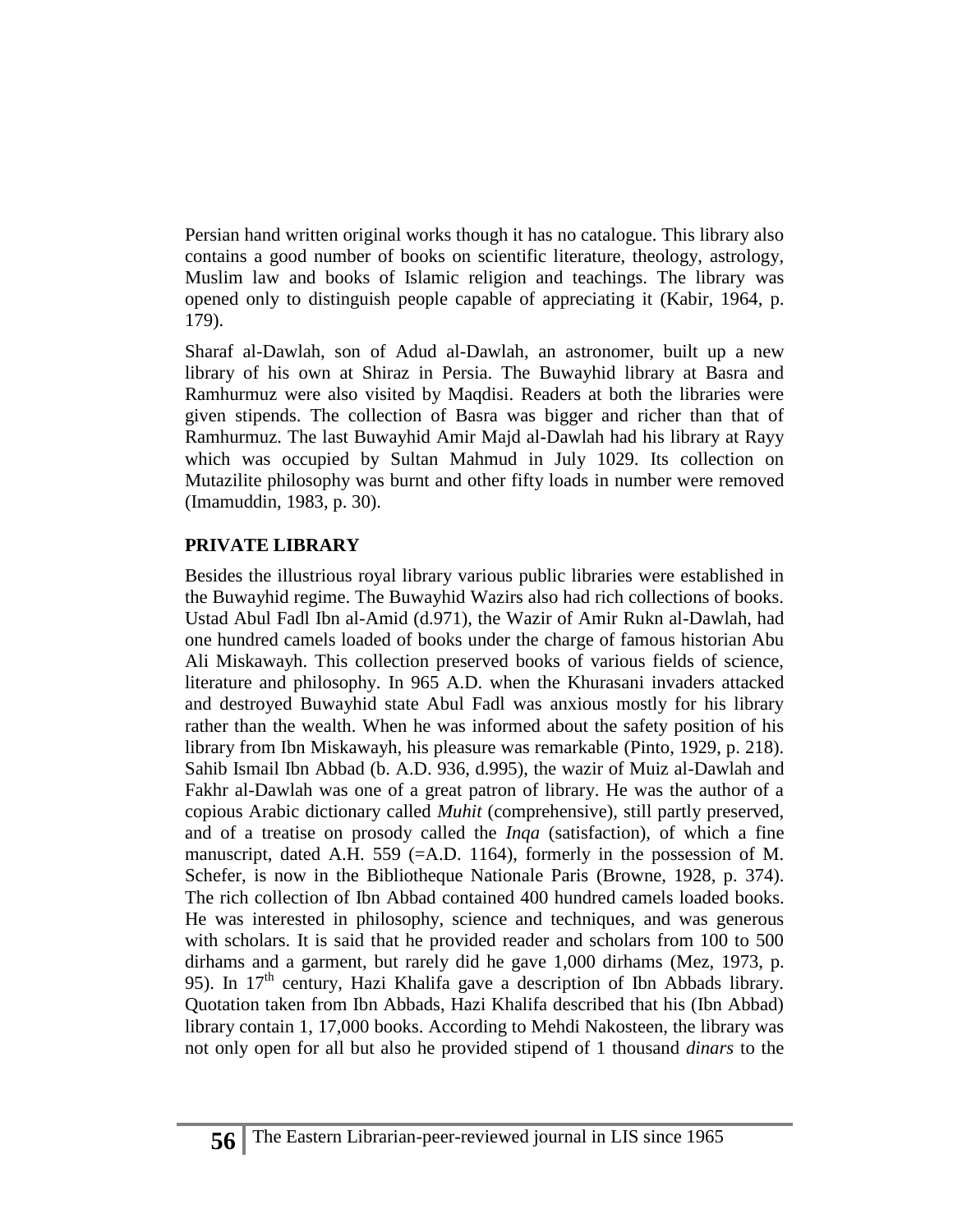Persian hand written original works though it has no catalogue. This library also contains a good number of books on scientific literature, theology, astrology, Muslim law and books of Islamic religion and teachings. The library was opened only to distinguish people capable of appreciating it (Kabir, 1964, p. 179).

Sharaf al-Dawlah, son of Adud al-Dawlah, an astronomer, built up a new library of his own at Shiraz in Persia. The Buwayhid library at Basra and Ramhurmuz were also visited by Maqdisi. Readers at both the libraries were given stipends. The collection of Basra was bigger and richer than that of Ramhurmuz. The last Buwayhid Amir Majd al-Dawlah had his library at Rayy which was occupied by Sultan Mahmud in July 1029. Its collection on Mutazilite philosophy was burnt and other fifty loads in number were removed (Imamuddin, 1983, p. 30).

#### **PRIVATE LIBRARY**

Besides the illustrious royal library various public libraries were established in the Buwayhid regime. The Buwayhid Wazirs also had rich collections of books. Ustad Abul Fadl Ibn al-Amid (d.971), the Wazir of Amir Rukn al-Dawlah, had one hundred camels loaded of books under the charge of famous historian Abu Ali Miskawayh. This collection preserved books of various fields of science, literature and philosophy. In 965 A.D. when the Khurasani invaders attacked and destroyed Buwayhid state Abul Fadl was anxious mostly for his library rather than the wealth. When he was informed about the safety position of his library from Ibn Miskawayh, his pleasure was remarkable (Pinto, 1929, p. 218). Sahib Ismail Ibn Abbad (b. A.D. 936, d.995), the wazir of Muiz al-Dawlah and Fakhr al-Dawlah was one of a great patron of library. He was the author of a copious Arabic dictionary called *Muhit* (comprehensive), still partly preserved, and of a treatise on prosody called the *Inqa* (satisfaction), of which a fine manuscript, dated A.H. 559 (=A.D. 1164), formerly in the possession of M. Schefer, is now in the Bibliotheque Nationale Paris (Browne, 1928, p. 374). The rich collection of Ibn Abbad contained 400 hundred camels loaded books. He was interested in philosophy, science and techniques, and was generous with scholars. It is said that he provided reader and scholars from 100 to 500 dirhams and a garment, but rarely did he gave 1,000 dirhams (Mez, 1973, p. 95). In 17<sup>th</sup> century, Hazi Khalifa gave a description of Ibn Abbads library. Quotation taken from Ibn Abbads, Hazi Khalifa described that his (Ibn Abbad) library contain 1, 17,000 books. According to Mehdi Nakosteen, the library was not only open for all but also he provided stipend of 1 thousand *dinars* to the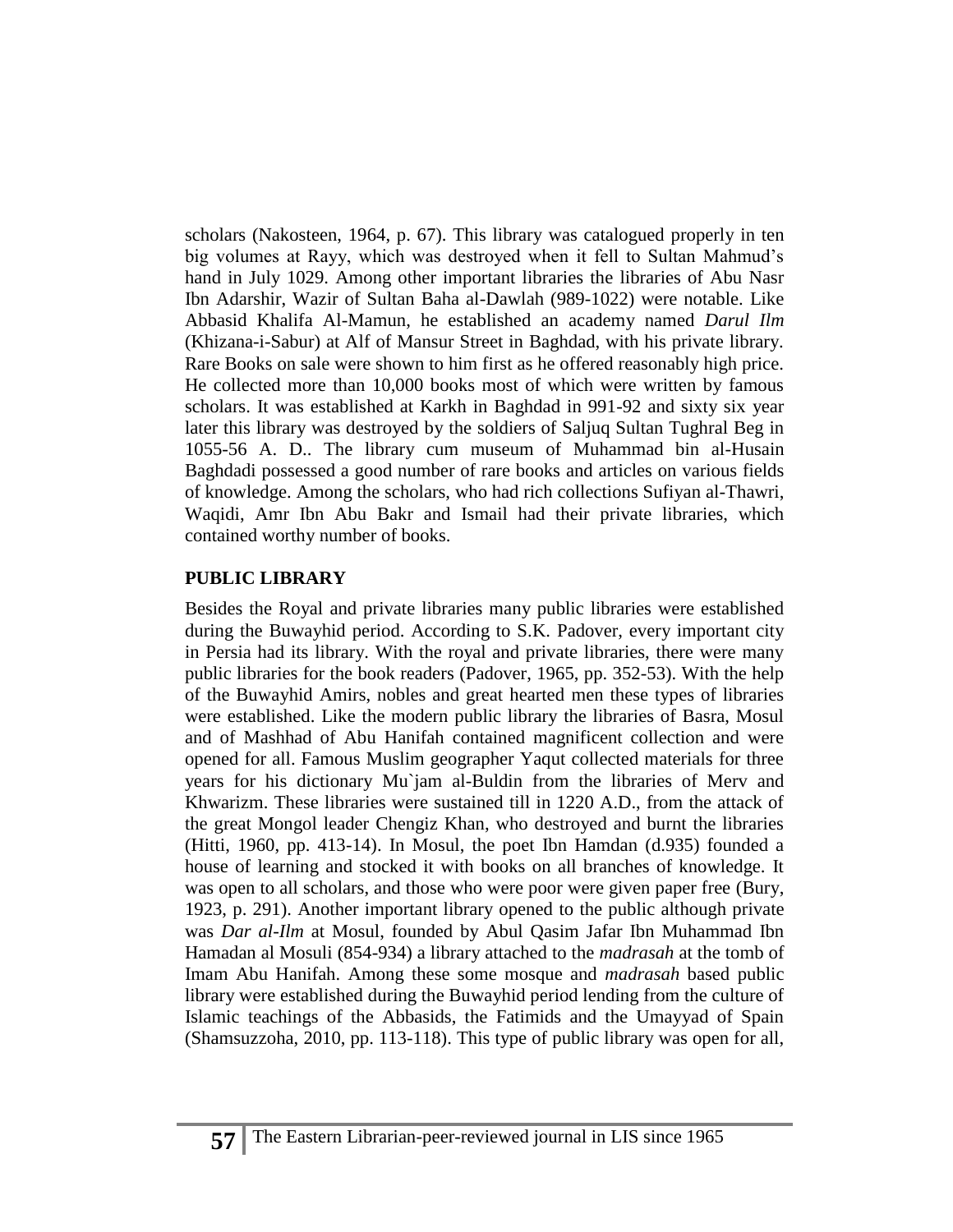scholars (Nakosteen, 1964, p. 67). This library was catalogued properly in ten big volumes at Rayy, which was destroyed when it fell to Sultan Mahmud's hand in July 1029. Among other important libraries the libraries of Abu Nasr Ibn Adarshir, Wazir of Sultan Baha al-Dawlah (989-1022) were notable. Like Abbasid Khalifa Al-Mamun, he established an academy named *Darul Ilm* (Khizana-i-Sabur) at Alf of Mansur Street in Baghdad, with his private library. Rare Books on sale were shown to him first as he offered reasonably high price. He collected more than 10,000 books most of which were written by famous scholars. It was established at Karkh in Baghdad in 991-92 and sixty six year later this library was destroyed by the soldiers of Saljuq Sultan Tughral Beg in 1055-56 A. D.. The library cum museum of Muhammad bin al-Husain Baghdadi possessed a good number of rare books and articles on various fields of knowledge. Among the scholars, who had rich collections Sufiyan al-Thawri, Waqidi, Amr Ibn Abu Bakr and Ismail had their private libraries, which contained worthy number of books.

#### **PUBLIC LIBRARY**

Besides the Royal and private libraries many public libraries were established during the Buwayhid period. According to S.K. Padover, every important city in Persia had its library. With the royal and private libraries, there were many public libraries for the book readers (Padover, 1965, pp. 352-53). With the help of the Buwayhid Amirs, nobles and great hearted men these types of libraries were established. Like the modern public library the libraries of Basra, Mosul and of Mashhad of Abu Hanifah contained magnificent collection and were opened for all. Famous Muslim geographer Yaqut collected materials for three years for his dictionary Mu`jam al-Buldin from the libraries of Merv and Khwarizm. These libraries were sustained till in 1220 A.D., from the attack of the great Mongol leader Chengiz Khan, who destroyed and burnt the libraries (Hitti, 1960, pp. 413-14). In Mosul, the poet Ibn Hamdan (d.935) founded a house of learning and stocked it with books on all branches of knowledge. It was open to all scholars, and those who were poor were given paper free (Bury, 1923, p. 291). Another important library opened to the public although private was *Dar al-Ilm* at Mosul, founded by Abul Qasim Jafar Ibn Muhammad Ibn Hamadan al Mosuli (854-934) a library attached to the *madrasah* at the tomb of Imam Abu Hanifah. Among these some mosque and *madrasah* based public library were established during the Buwayhid period lending from the culture of Islamic teachings of the Abbasids, the Fatimids and the Umayyad of Spain (Shamsuzzoha, 2010, pp. 113-118). This type of public library was open for all,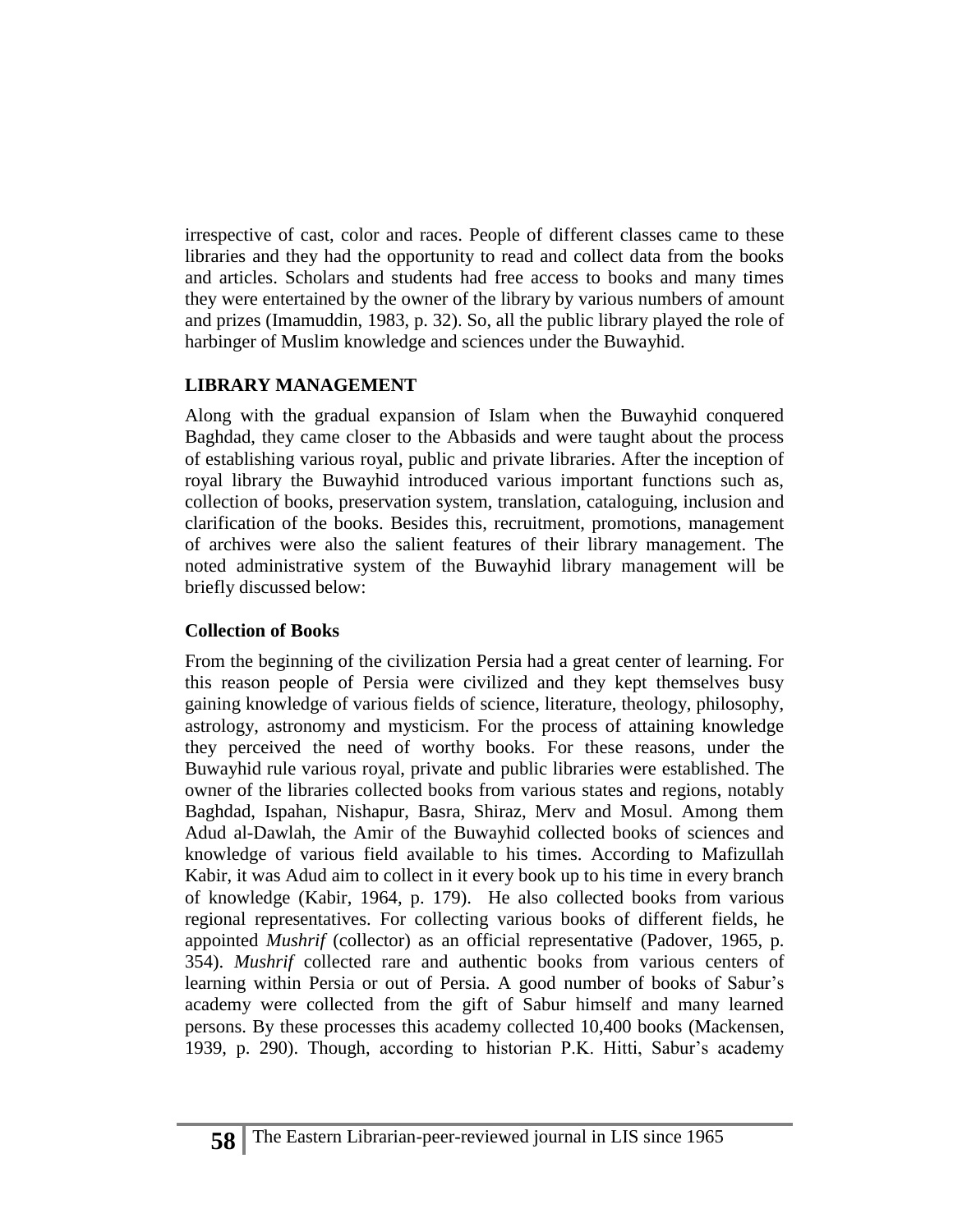irrespective of cast, color and races. People of different classes came to these libraries and they had the opportunity to read and collect data from the books and articles. Scholars and students had free access to books and many times they were entertained by the owner of the library by various numbers of amount and prizes (Imamuddin, 1983, p. 32). So, all the public library played the role of harbinger of Muslim knowledge and sciences under the Buwayhid.

## **LIBRARY MANAGEMENT**

Along with the gradual expansion of Islam when the Buwayhid conquered Baghdad, they came closer to the Abbasids and were taught about the process of establishing various royal, public and private libraries. After the inception of royal library the Buwayhid introduced various important functions such as, collection of books, preservation system, translation, cataloguing, inclusion and clarification of the books. Besides this, recruitment, promotions, management of archives were also the salient features of their library management. The noted administrative system of the Buwayhid library management will be briefly discussed below:

# **Collection of Books**

From the beginning of the civilization Persia had a great center of learning. For this reason people of Persia were civilized and they kept themselves busy gaining knowledge of various fields of science, literature, theology, philosophy, astrology, astronomy and mysticism. For the process of attaining knowledge they perceived the need of worthy books. For these reasons, under the Buwayhid rule various royal, private and public libraries were established. The owner of the libraries collected books from various states and regions, notably Baghdad, Ispahan, Nishapur, Basra, Shiraz, Merv and Mosul. Among them Adud al-Dawlah, the Amir of the Buwayhid collected books of sciences and knowledge of various field available to his times. According to Mafizullah Kabir, it was Adud aim to collect in it every book up to his time in every branch of knowledge (Kabir, 1964, p. 179). He also collected books from various regional representatives. For collecting various books of different fields, he appointed *Mushrif* (collector) as an official representative (Padover, 1965, p. 354). *Mushrif* collected rare and authentic books from various centers of learning within Persia or out of Persia. A good number of books of Sabur's academy were collected from the gift of Sabur himself and many learned persons. By these processes this academy collected 10,400 books (Mackensen, 1939, p. 290). Though, according to historian P.K. Hitti, Sabur's academy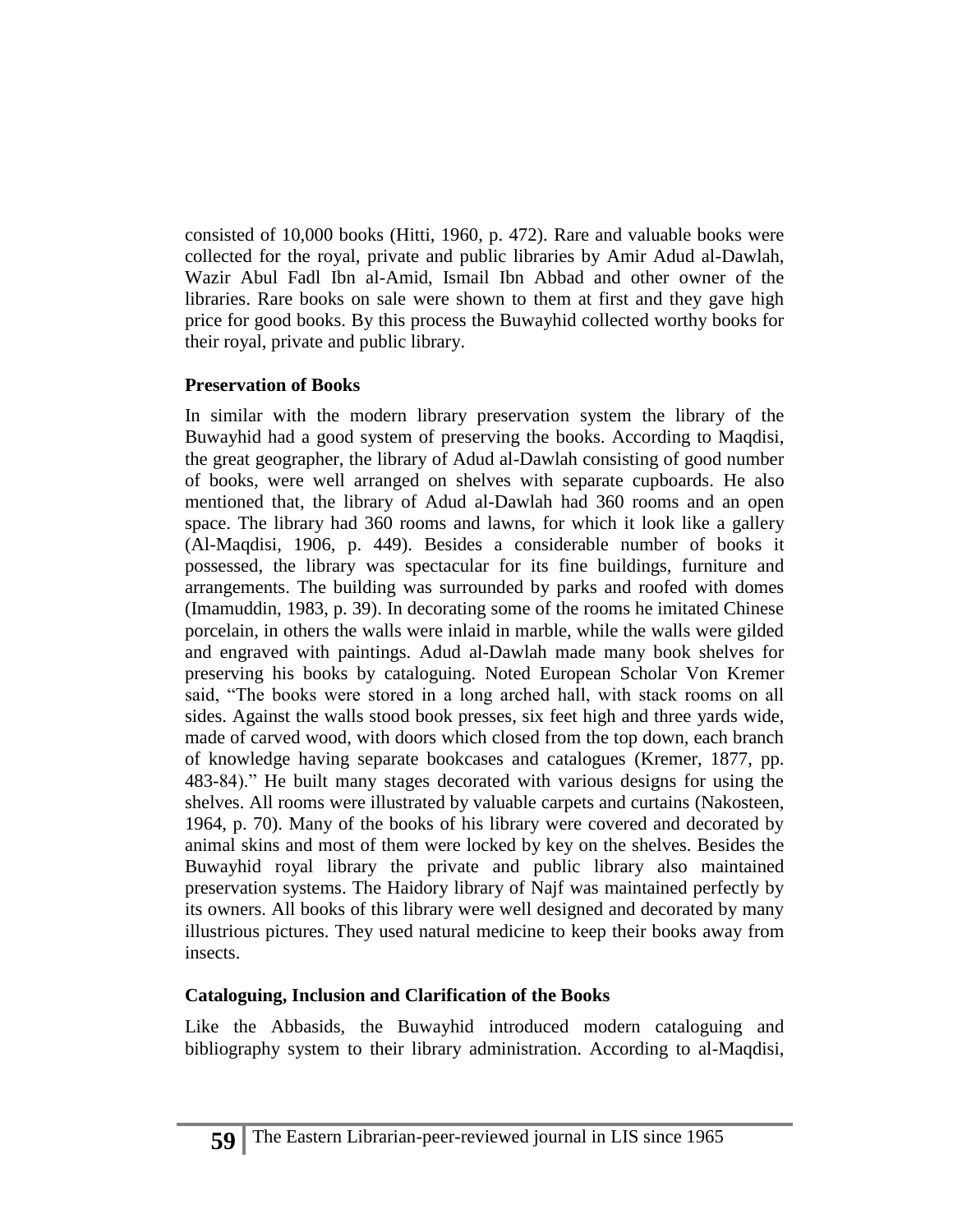consisted of 10,000 books (Hitti, 1960, p. 472). Rare and valuable books were collected for the royal, private and public libraries by Amir Adud al-Dawlah, Wazir Abul Fadl Ibn al-Amid, Ismail Ibn Abbad and other owner of the libraries. Rare books on sale were shown to them at first and they gave high price for good books. By this process the Buwayhid collected worthy books for their royal, private and public library.

## **Preservation of Books**

In similar with the modern library preservation system the library of the Buwayhid had a good system of preserving the books. According to Maqdisi, the great geographer, the library of Adud al-Dawlah consisting of good number of books, were well arranged on shelves with separate cupboards. He also mentioned that, the library of Adud al-Dawlah had 360 rooms and an open space. The library had 360 rooms and lawns, for which it look like a gallery (Al-Maqdisi, 1906, p. 449). Besides a considerable number of books it possessed, the library was spectacular for its fine buildings, furniture and arrangements. The building was surrounded by parks and roofed with domes (Imamuddin, 1983, p. 39). In decorating some of the rooms he imitated Chinese porcelain, in others the walls were inlaid in marble, while the walls were gilded and engraved with paintings. Adud al-Dawlah made many book shelves for preserving his books by cataloguing. Noted European Scholar Von Kremer said, "The books were stored in a long arched hall, with stack rooms on all sides. Against the walls stood book presses, six feet high and three yards wide, made of carved wood, with doors which closed from the top down, each branch of knowledge having separate bookcases and catalogues (Kremer, 1877, pp. 483-84)." He built many stages decorated with various designs for using the shelves. All rooms were illustrated by valuable carpets and curtains (Nakosteen, 1964, p. 70). Many of the books of his library were covered and decorated by animal skins and most of them were locked by key on the shelves. Besides the Buwayhid royal library the private and public library also maintained preservation systems. The Haidory library of Najf was maintained perfectly by its owners. All books of this library were well designed and decorated by many illustrious pictures. They used natural medicine to keep their books away from insects.

## **Cataloguing, Inclusion and Clarification of the Books**

Like the Abbasids, the Buwayhid introduced modern cataloguing and bibliography system to their library administration. According to al-Maqdisi,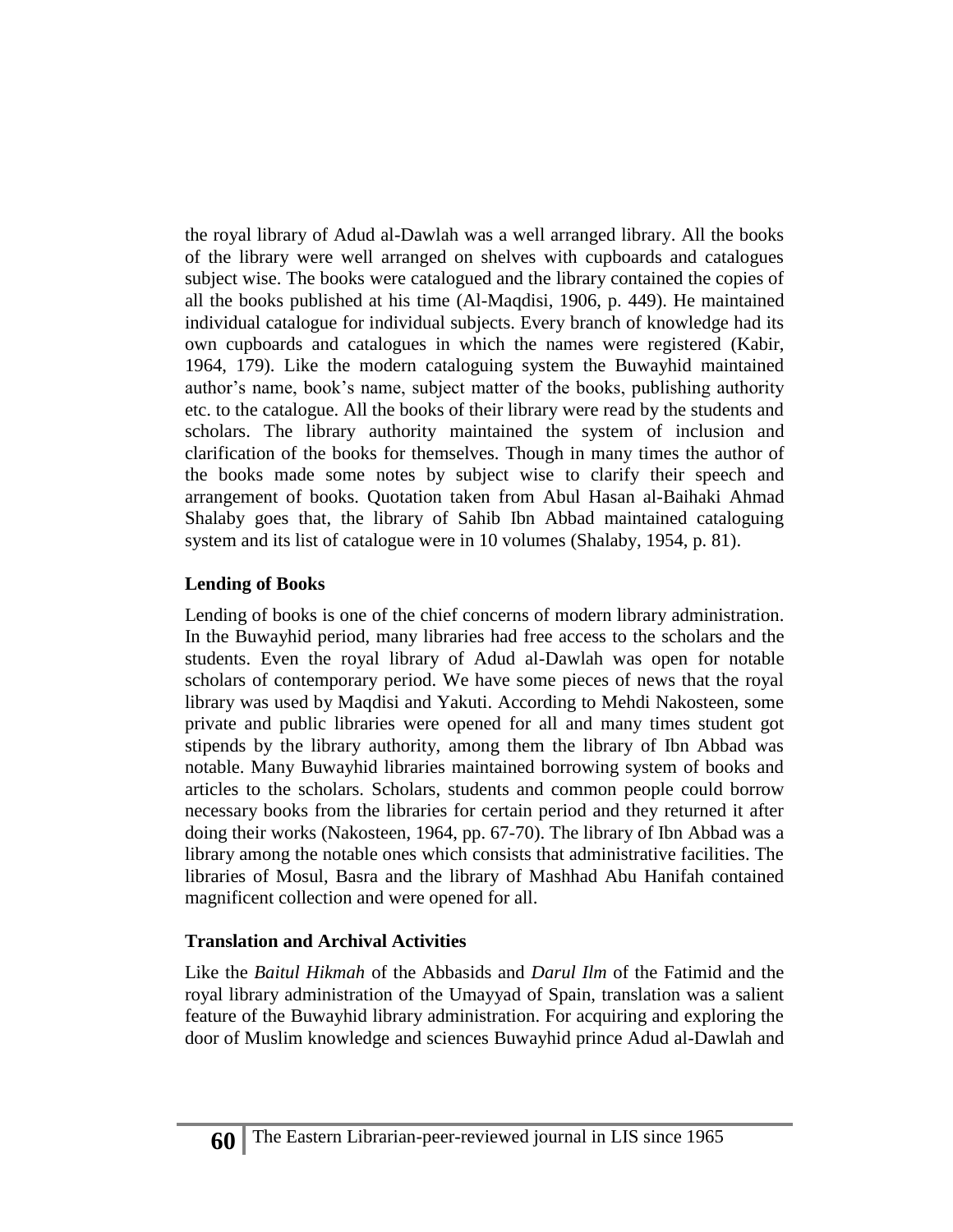the royal library of Adud al-Dawlah was a well arranged library. All the books of the library were well arranged on shelves with cupboards and catalogues subject wise. The books were catalogued and the library contained the copies of all the books published at his time (Al-Maqdisi, 1906, p. 449). He maintained individual catalogue for individual subjects. Every branch of knowledge had its own cupboards and catalogues in which the names were registered (Kabir, 1964, 179). Like the modern cataloguing system the Buwayhid maintained author's name, book's name, subject matter of the books, publishing authority etc. to the catalogue. All the books of their library were read by the students and scholars. The library authority maintained the system of inclusion and clarification of the books for themselves. Though in many times the author of the books made some notes by subject wise to clarify their speech and arrangement of books. Quotation taken from Abul Hasan al-Baihaki Ahmad Shalaby goes that, the library of Sahib Ibn Abbad maintained cataloguing system and its list of catalogue were in 10 volumes (Shalaby, 1954, p. 81).

#### **Lending of Books**

Lending of books is one of the chief concerns of modern library administration. In the Buwayhid period, many libraries had free access to the scholars and the students. Even the royal library of Adud al-Dawlah was open for notable scholars of contemporary period. We have some pieces of news that the royal library was used by Maqdisi and Yakuti. According to Mehdi Nakosteen, some private and public libraries were opened for all and many times student got stipends by the library authority, among them the library of Ibn Abbad was notable. Many Buwayhid libraries maintained borrowing system of books and articles to the scholars. Scholars, students and common people could borrow necessary books from the libraries for certain period and they returned it after doing their works (Nakosteen, 1964, pp. 67-70). The library of Ibn Abbad was a library among the notable ones which consists that administrative facilities. The libraries of Mosul, Basra and the library of Mashhad Abu Hanifah contained magnificent collection and were opened for all.

#### **Translation and Archival Activities**

Like the *Baitul Hikmah* of the Abbasids and *Darul Ilm* of the Fatimid and the royal library administration of the Umayyad of Spain, translation was a salient feature of the Buwayhid library administration. For acquiring and exploring the door of Muslim knowledge and sciences Buwayhid prince Adud al-Dawlah and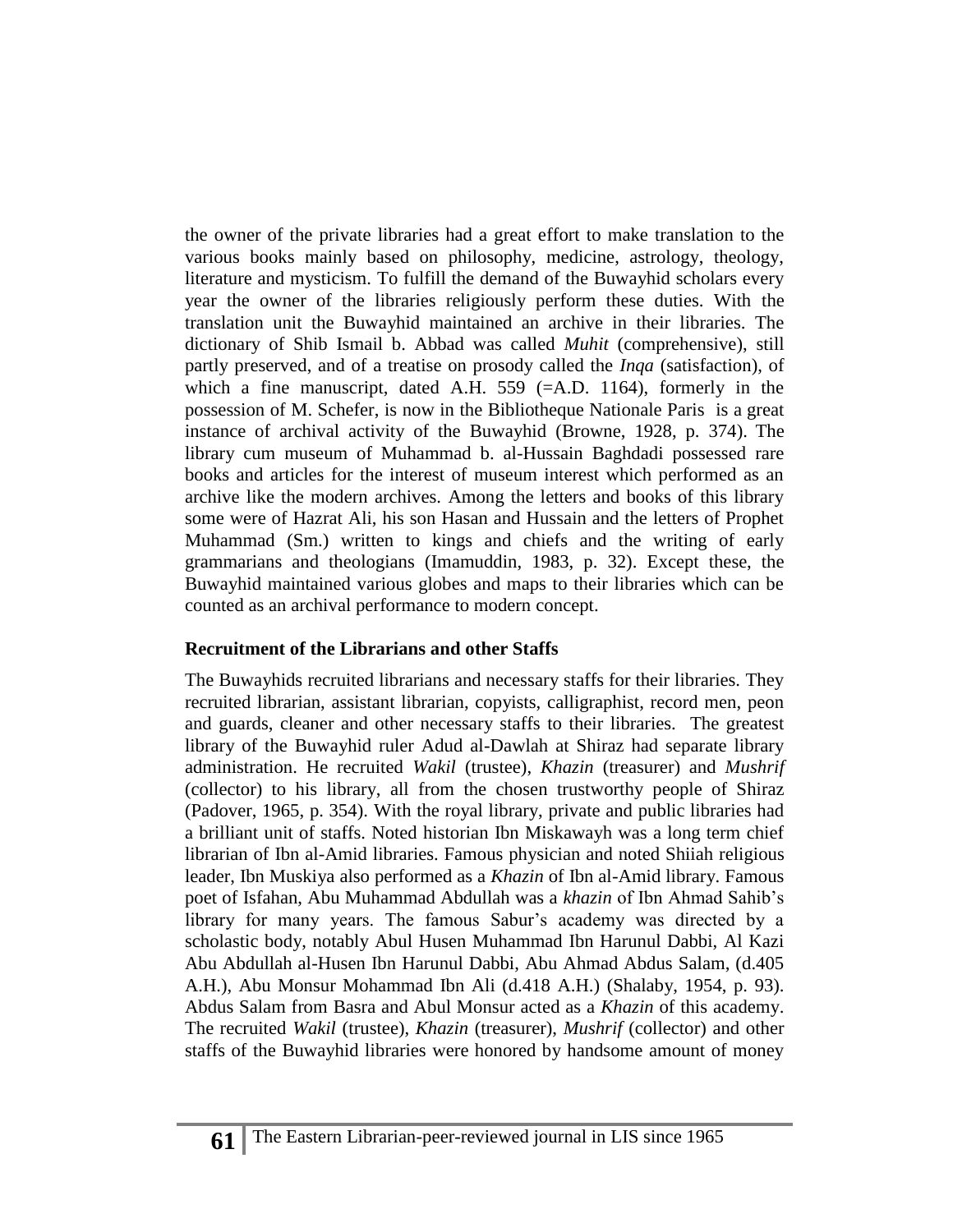the owner of the private libraries had a great effort to make translation to the various books mainly based on philosophy, medicine, astrology, theology, literature and mysticism. To fulfill the demand of the Buwayhid scholars every year the owner of the libraries religiously perform these duties. With the translation unit the Buwayhid maintained an archive in their libraries. The dictionary of Shib Ismail b. Abbad was called *Muhit* (comprehensive), still partly preserved, and of a treatise on prosody called the *Inqa* (satisfaction), of which a fine manuscript, dated A.H. 559 (=A.D. 1164), formerly in the possession of M. Schefer, is now in the Bibliotheque Nationale Paris is a great instance of archival activity of the Buwayhid (Browne, 1928, p. 374). The library cum museum of Muhammad b. al-Hussain Baghdadi possessed rare books and articles for the interest of museum interest which performed as an archive like the modern archives. Among the letters and books of this library some were of Hazrat Ali, his son Hasan and Hussain and the letters of Prophet Muhammad (Sm.) written to kings and chiefs and the writing of early grammarians and theologians (Imamuddin, 1983, p. 32). Except these, the Buwayhid maintained various globes and maps to their libraries which can be counted as an archival performance to modern concept.

#### **Recruitment of the Librarians and other Staffs**

The Buwayhids recruited librarians and necessary staffs for their libraries. They recruited librarian, assistant librarian, copyists, calligraphist, record men, peon and guards, cleaner and other necessary staffs to their libraries. The greatest library of the Buwayhid ruler Adud al-Dawlah at Shiraz had separate library administration. He recruited *Wakil* (trustee), *Khazin* (treasurer) and *Mushrif* (collector) to his library, all from the chosen trustworthy people of Shiraz (Padover, 1965, p. 354). With the royal library, private and public libraries had a brilliant unit of staffs. Noted historian Ibn Miskawayh was a long term chief librarian of Ibn al-Amid libraries. Famous physician and noted Shiiah religious leader, Ibn Muskiya also performed as a *Khazin* of Ibn al-Amid library. Famous poet of Isfahan, Abu Muhammad Abdullah was a *khazin* of Ibn Ahmad Sahib's library for many years. The famous Sabur's academy was directed by a scholastic body, notably Abul Husen Muhammad Ibn Harunul Dabbi, Al Kazi Abu Abdullah al-Husen Ibn Harunul Dabbi, Abu Ahmad Abdus Salam, (d.405 A.H.), Abu Monsur Mohammad Ibn Ali (d.418 A.H.) (Shalaby, 1954, p. 93). Abdus Salam from Basra and Abul Monsur acted as a *Khazin* of this academy. The recruited *Wakil* (trustee), *Khazin* (treasurer), *Mushrif* (collector) and other staffs of the Buwayhid libraries were honored by handsome amount of money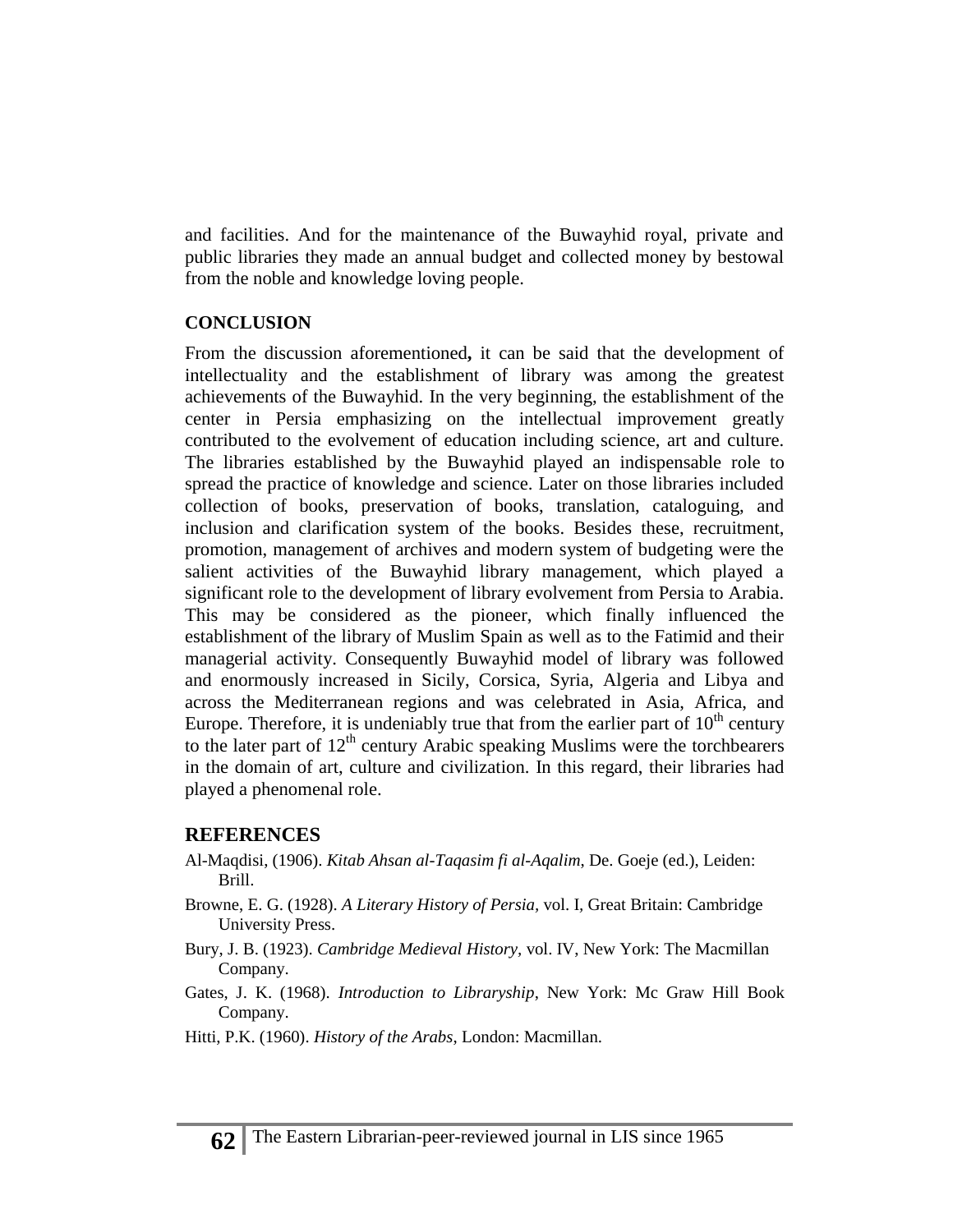and facilities. And for the maintenance of the Buwayhid royal, private and public libraries they made an annual budget and collected money by bestowal from the noble and knowledge loving people.

#### **CONCLUSION**

From the discussion aforementioned**,** it can be said that the development of intellectuality and the establishment of library was among the greatest achievements of the Buwayhid. In the very beginning, the establishment of the center in Persia emphasizing on the intellectual improvement greatly contributed to the evolvement of education including science, art and culture. The libraries established by the Buwayhid played an indispensable role to spread the practice of knowledge and science. Later on those libraries included collection of books, preservation of books, translation, cataloguing, and inclusion and clarification system of the books. Besides these, recruitment, promotion, management of archives and modern system of budgeting were the salient activities of the Buwayhid library management, which played a significant role to the development of library evolvement from Persia to Arabia. This may be considered as the pioneer, which finally influenced the establishment of the library of Muslim Spain as well as to the Fatimid and their managerial activity. Consequently Buwayhid model of library was followed and enormously increased in Sicily, Corsica, Syria, Algeria and Libya and across the Mediterranean regions and was celebrated in Asia, Africa, and Europe. Therefore, it is undeniably true that from the earlier part of  $10<sup>th</sup>$  century to the later part of  $12<sup>th</sup>$  century Arabic speaking Muslims were the torchbearers in the domain of art, culture and civilization. In this regard, their libraries had played a phenomenal role.

#### **REFERENCES**

- Al-Maqdisi, (1906). *Kitab Ahsan al-Taqasim fi al-Aqalim*, De. Goeje (ed.), Leiden: Brill.
- Browne, E. G. (1928). *A Literary History of Persia,* vol. I*,* Great Britain: Cambridge University Press.
- Bury, J. B. (1923). *Cambridge Medieval History,* vol. IV, New York: [The Macmillan](http://archive.org/search.php?query=publisher%3A%22The+Macmillan+Company%22)  [Company.](http://archive.org/search.php?query=publisher%3A%22The+Macmillan+Company%22)
- Gates, J. K. (1968). *Introduction to Libraryship*, New York: Mc Graw Hill Book Company.
- Hitti, P.K. (1960). *History of the Arabs*, London: Macmillan.